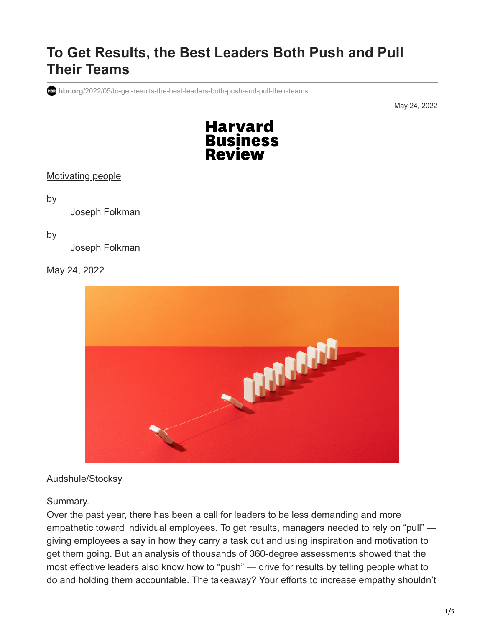# **To Get Results, the Best Leaders Both Push and Pull Their Teams**

**hbr.org**[/2022/05/to-get-results-the-best-leaders-both-push-and-pull-their-teams](https://hbr.org/2022/05/to-get-results-the-best-leaders-both-push-and-pull-their-teams?deliveryName=DM195138)

May 24, 2022



[Motivating people](https://hbr.org/topic/motivating-people)

by

[Joseph Folkman](https://hbr.org/search?term=joseph%20folkman)

#### by

[Joseph Folkman](https://hbr.org/search?term=joseph%20folkman)

#### May 24, 2022



#### Audshule/Stocksy

#### Summary.

Over the past year, there has been a call for leaders to be less demanding and more empathetic toward individual employees. To get results, managers needed to rely on "pull" giving employees a say in how they carry a task out and using inspiration and motivation to get them going. But an analysis of thousands of 360-degree assessments showed that the most effective leaders also know how to "push" — drive for results by telling people what to do and holding them accountable. The takeaway? Your efforts to increase empathy shouldn't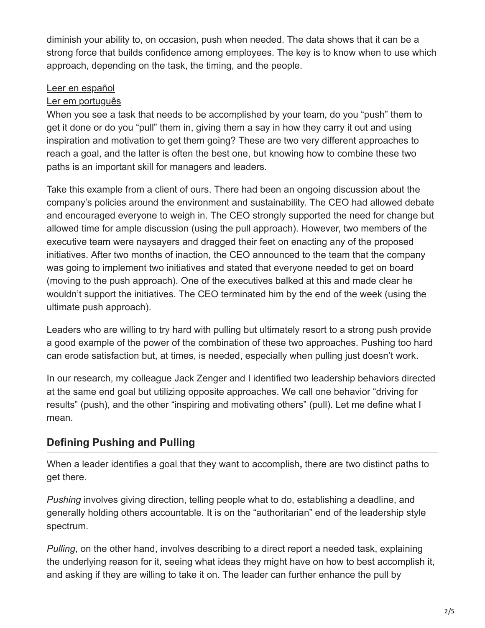diminish your ability to, on occasion, push when needed. The data shows that it can be a strong force that builds confidence among employees. The key is to know when to use which approach, depending on the task, the timing, and the people.

### [Leer en español](https://hbr.org/2022/05/to-get-results-the-best-leaders-both-push-and-pull-their-teams?language=es)

### [Ler em português](https://hbr.org/2022/05/to-get-results-the-best-leaders-both-push-and-pull-their-teams?language=pt)

When you see a task that needs to be accomplished by your team, do you "push" them to get it done or do you "pull" them in, giving them a say in how they carry it out and using inspiration and motivation to get them going? These are two very different approaches to reach a goal, and the latter is often the best one, but knowing how to combine these two paths is an important skill for managers and leaders.

Take this example from a client of ours. There had been an ongoing discussion about the company's policies around the environment and sustainability. The CEO had allowed debate and encouraged everyone to weigh in. The CEO strongly supported the need for change but allowed time for ample discussion (using the pull approach). However, two members of the executive team were naysayers and dragged their feet on enacting any of the proposed initiatives. After two months of inaction, the CEO announced to the team that the company was going to implement two initiatives and stated that everyone needed to get on board (moving to the push approach). One of the executives balked at this and made clear he wouldn't support the initiatives. The CEO terminated him by the end of the week (using the ultimate push approach).

Leaders who are willing to try hard with pulling but ultimately resort to a strong push provide a good example of the power of the combination of these two approaches. Pushing too hard can erode satisfaction but, at times, is needed, especially when pulling just doesn't work.

In our research, my colleague Jack Zenger and I identified two leadership behaviors directed at the same end goal but utilizing opposite approaches. We call one behavior "driving for results" (push), and the other "inspiring and motivating others" (pull). Let me define what I mean.

# **Defining Pushing and Pulling**

When a leader identifies a goal that they want to accomplish**,** there are two distinct paths to get there.

*Pushing* involves giving direction, telling people what to do, establishing a deadline, and generally holding others accountable. It is on the "authoritarian" end of the leadership style spectrum.

*Pulling*, on the other hand, involves describing to a direct report a needed task, explaining the underlying reason for it, seeing what ideas they might have on how to best accomplish it, and asking if they are willing to take it on. The leader can further enhance the pull by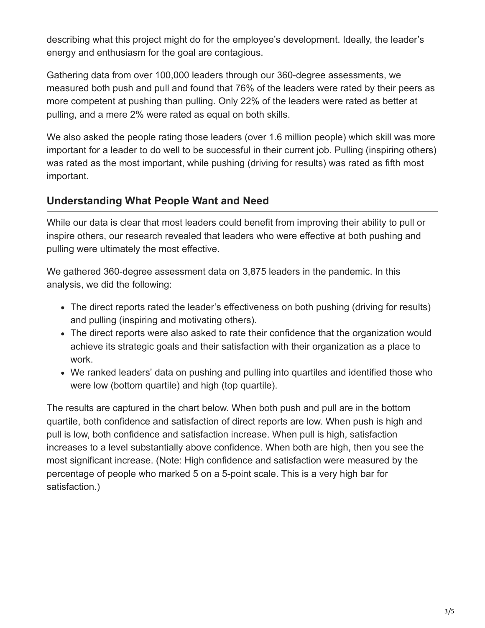describing what this project might do for the employee's development. Ideally, the leader's energy and enthusiasm for the goal are contagious.

Gathering data from over 100,000 leaders through our 360-degree assessments, we measured both push and pull and found that 76% of the leaders were rated by their peers as more competent at pushing than pulling. Only 22% of the leaders were rated as better at pulling, and a mere 2% were rated as equal on both skills.

We also asked the people rating those leaders (over 1.6 million people) which skill was more important for a leader to do well to be successful in their current job. Pulling (inspiring others) was rated as the most important, while pushing (driving for results) was rated as fifth most important.

## **Understanding What People Want and Need**

While our data is clear that most leaders could benefit from improving their ability to pull or inspire others, our research revealed that leaders who were effective at both pushing and pulling were ultimately the most effective.

We gathered 360-degree assessment data on 3,875 leaders in the pandemic. In this analysis, we did the following:

- The direct reports rated the leader's effectiveness on both pushing (driving for results) and pulling (inspiring and motivating others).
- The direct reports were also asked to rate their confidence that the organization would achieve its strategic goals and their satisfaction with their organization as a place to work.
- We ranked leaders' data on pushing and pulling into quartiles and identified those who were low (bottom quartile) and high (top quartile).

The results are captured in the chart below. When both push and pull are in the bottom quartile, both confidence and satisfaction of direct reports are low. When push is high and pull is low, both confidence and satisfaction increase. When pull is high, satisfaction increases to a level substantially above confidence. When both are high, then you see the most significant increase. (Note: High confidence and satisfaction were measured by the percentage of people who marked 5 on a 5-point scale. This is a very high bar for satisfaction.)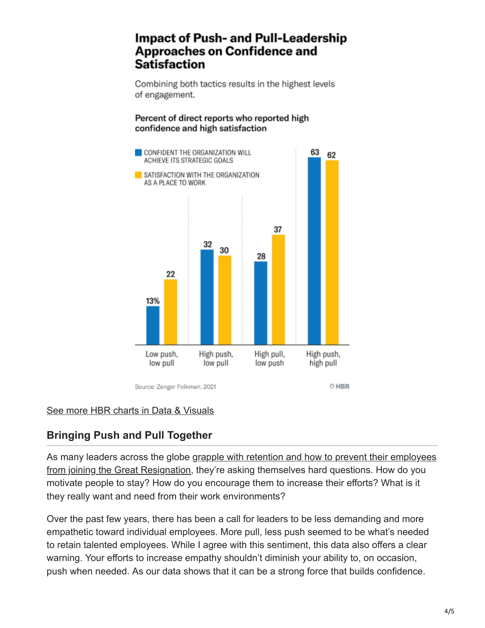# **Impact of Push- and Pull-Leadership Approaches on Confidence and** Satisfaction

Combining both tactics results in the highest levels of engagement.

### Percent of direct reports who reported high confidence and high satisfaction



Source: Zenger Folkman, 2021

### [See more HBR charts in Data & Visuals](https://www.hbr.org/data-visuals)

# **Bringing Push and Pull Together**

[As many leaders across the globe grapple with retention and how to prevent their employees](https://hbr.org/2021/11/6-strategies-to-boost-retention-through-the-great-resignation) from joining the Great Resignation, they're asking themselves hard questions. How do you motivate people to stay? How do you encourage them to increase their efforts? What is it they really want and need from their work environments?

Over the past few years, there has been a call for leaders to be less demanding and more empathetic toward individual employees. More pull, less push seemed to be what's needed to retain talented employees. While I agree with this sentiment, this data also offers a clear warning. Your efforts to increase empathy shouldn't diminish your ability to, on occasion, push when needed. As our data shows that it can be a strong force that builds confidence.